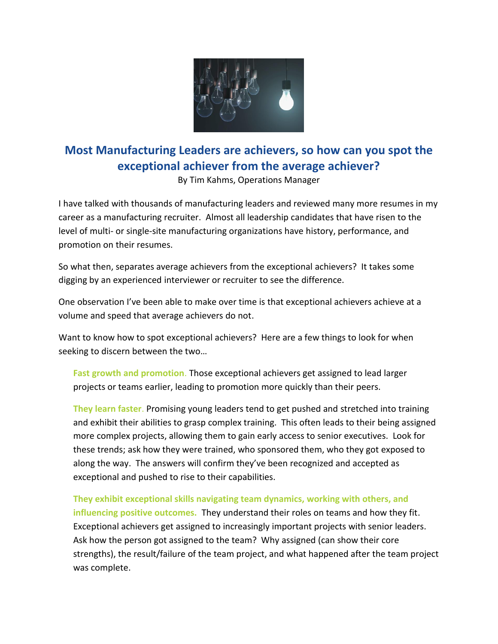

## **Most Manufacturing Leaders are achievers, so how can you spot the exceptional achiever from the average achiever?**

By Tim Kahms, Operations Manager

I have talked with thousands of manufacturing leaders and reviewed many more resumes in my career as a manufacturing recruiter. Almost all leadership candidates that have risen to the level of multi- or single-site manufacturing organizations have history, performance, and promotion on their resumes.

So what then, separates average achievers from the exceptional achievers? It takes some digging by an experienced interviewer or recruiter to see the difference.

One observation I've been able to make over time is that exceptional achievers achieve at a volume and speed that average achievers do not.

Want to know how to spot exceptional achievers? Here are a few things to look for when seeking to discern between the two…

**Fast growth and promotion**. Those exceptional achievers get assigned to lead larger projects or teams earlier, leading to promotion more quickly than their peers.

**They learn faster**. Promising young leaders tend to get pushed and stretched into training and exhibit their abilities to grasp complex training. This often leads to their being assigned more complex projects, allowing them to gain early access to senior executives. Look for these trends; ask how they were trained, who sponsored them, who they got exposed to along the way. The answers will confirm they've been recognized and accepted as exceptional and pushed to rise to their capabilities.

**They exhibit exceptional skills navigating team dynamics, working with others, and influencing positive outcomes.** They understand their roles on teams and how they fit. Exceptional achievers get assigned to increasingly important projects with senior leaders. Ask how the person got assigned to the team? Why assigned (can show their core strengths), the result/failure of the team project, and what happened after the team project was complete.